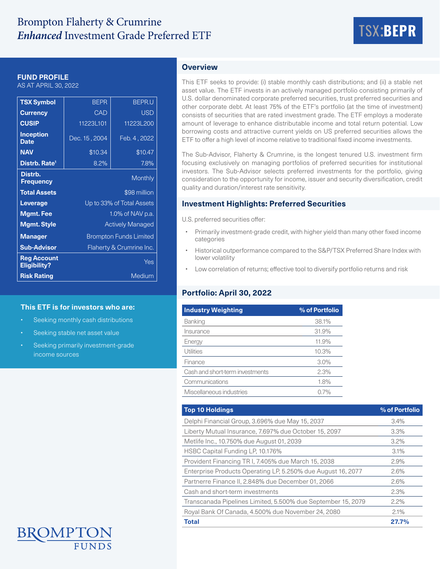# Brompton Flaherty & Crumrine *Enhanced* Investment Grade Preferred ETF TSX:**BEPR**



#### **FUND PROFILE**

AS AT APRIL 30, 2022

| <b>TSX Symbol</b>                         | <b>BEPR</b>                   | <b>BEPR.U</b> |  |  |  |
|-------------------------------------------|-------------------------------|---------------|--|--|--|
| <b>Currency</b>                           | CAD                           | <b>USD</b>    |  |  |  |
| <b>CUSIP</b>                              | 11223L101                     | 11223L200     |  |  |  |
| <b>Inception</b><br><b>Date</b>           | Dec. 15, 2004                 | Feb. 4, 2022  |  |  |  |
| <b>NAV</b>                                | \$10.34                       | \$10.47       |  |  |  |
| Distrb. Rate <sup>1</sup>                 | 8.2%                          | $7.8\%$       |  |  |  |
| Distrb.<br><b>Frequency</b>               |                               | Monthly       |  |  |  |
| <b>Total Assets</b>                       | \$98 million                  |               |  |  |  |
| Leverage                                  | Up to 33% of Total Assets     |               |  |  |  |
| <b>Mgmt. Fee</b>                          | 1.0% of NAV p.a.              |               |  |  |  |
| <b>Mgmt. Style</b>                        | <b>Actively Managed</b>       |               |  |  |  |
| <b>Manager</b>                            | <b>Brompton Funds Limited</b> |               |  |  |  |
| <b>Sub-Advisor</b>                        | Flaherty & Crumrine Inc.      |               |  |  |  |
| <b>Reg Account</b><br><b>Eligibility?</b> | Yes                           |               |  |  |  |
| <b>Risk Rating</b>                        | Medium                        |               |  |  |  |

## **This ETF is for investors who are:**

- Seeking monthly cash distributions
- Seeking stable net asset value
- Seeking primarily investment-grade income sources

# **Overview**

This ETF seeks to provide: (i) stable monthly cash distributions; and (ii) a stable net asset value. The ETF invests in an actively managed portfolio consisting primarily of U.S. dollar denominated corporate preferred securities, trust preferred securities and other corporate debt. At least 75% of the ETF's portfolio (at the time of investment) consists of securities that are rated investment grade. The ETF employs a moderate amount of leverage to enhance distributable income and total return potential. Low borrowing costs and attractive current yields on US preferred securities allows the ETF to offer a high level of income relative to traditional fixed income investments.

The Sub-Advisor, Flaherty & Crumrine, is the longest tenured U.S. investment firm focusing exclusively on managing portfolios of preferred securities for institutional investors. The Sub-Advisor selects preferred investments for the portfolio, giving consideration to the opportunity for income, issuer and security diversification, credit quality and duration/interest rate sensitivity.

## **Investment Highlights: Preferred Securities**

U.S. preferred securities offer:

- Primarily investment-grade credit, with higher yield than many other fixed income categories
- Historical outperformance compared to the S&P/TSX Preferred Share Index with lower volatility
- Low correlation of returns; effective tool to diversify portfolio returns and risk

# **Portfolio: April 30, 2022**

| <b>Industry Weighting</b>       | % of Portfolio |  |  |  |
|---------------------------------|----------------|--|--|--|
| Banking                         | 38.1%          |  |  |  |
| Insurance                       | 31.9%          |  |  |  |
| Energy                          | 11.9%          |  |  |  |
| Utilities                       | 10.3%          |  |  |  |
| Finance                         | 3.0%           |  |  |  |
| Cash and short-term investments | 2.3%           |  |  |  |
| Communications                  | 1.8%           |  |  |  |
| Miscellaneous industries        | 0.7%           |  |  |  |

| <b>Top 10 Holdings</b>                                       | % of Portfolio |
|--------------------------------------------------------------|----------------|
| Delphi Financial Group, 3.696% due May 15, 2037              | 3.4%           |
| Liberty Mutual Insurance, 7.697% due October 15, 2097        | $3.3\%$        |
| Metlife Inc., 10.750% due August 01, 2039                    | 3.2%           |
| HSBC Capital Funding LP, 10.176%                             | 3.1%           |
| Provident Financing TR I, 7.405% due March 15, 2038          | 2.9%           |
| Enterprise Products Operating LP, 5.250% due August 16, 2077 | 2.6%           |
| Partnerre Finance II, 2.848% due December 01, 2066           | 2.6%           |
| Cash and short-term investments                              | 2.3%           |
| Transcanada Pipelines Limited, 5.500% due September 15, 2079 | 2.2%           |
| Royal Bank Of Canada, 4.500% due November 24, 2080           | 2.1%           |
| <b>Total</b>                                                 | 27.7%          |